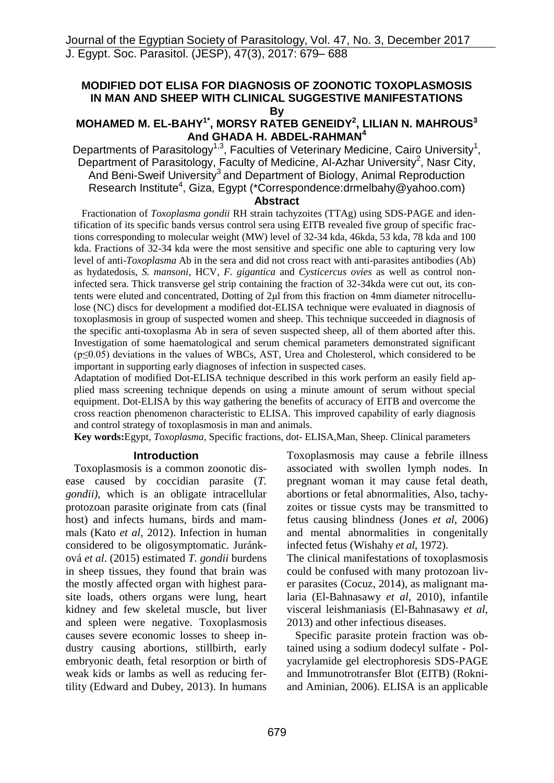# **MODIFIED DOT ELISA FOR DIAGNOSIS OF ZOONOTIC TOXOPLASMOSIS IN MAN AND SHEEP WITH CLINICAL SUGGESTIVE MANIFESTATIONS By**

# **MOHAMED M. EL-BAHY1\* , MORSY RATEB GENEIDY<sup>2</sup> , LILIAN N. MAHROUS<sup>3</sup> And GHADA H. ABDEL-RAHMAN<sup>4</sup>**

Departments of Parasitology<sup>1,3</sup>, Faculties of Veterinary Medicine, Cairo University<sup>1</sup>, Department of Parasitology, Faculty of Medicine, Al-Azhar University<sup>2</sup>, Nasr City, And Beni-Sweif University<sup>3</sup> and Department of Biology, Animal Reproduction Research Institute<sup>4</sup>, Giza, Egypt (\*Correspondence:drmelbahy@yahoo.com) **Abstract**

 Fractionation of *Toxoplasma gondii* RH strain tachyzoites (TTAg) using SDS-PAGE and identification of its specific bands versus control sera using EITB revealed five group of specific fractions corresponding to molecular weight (MW) level of 32-34 kda, 46kda, 53 kda, 78 kda and 100 kda. Fractions of 32-34 kda were the most sensitive and specific one able to capturing very low level of anti-*Toxoplasma* Ab in the sera and did not cross react with anti-parasites antibodies (Ab) as hydatedosis, *S. mansoni*, HCV, *F. gigantica* and *Cysticercus ovies* as well as control noninfected sera. Thick transverse gel strip containing the fraction of 32-34kda were cut out, its contents were eluted and concentrated, Dotting of 2μl from this fraction on 4mm diameter nitrocellulose (NC) discs for development a modified dot-ELISA technique were evaluated in diagnosis of toxoplasmosis in group of suspected women and sheep. This technique succeeded in diagnosis of the specific anti-toxoplasma Ab in sera of seven suspected sheep, all of them aborted after this. Investigation of some haematological and serum chemical parameters demonstrated significant  $(p \le 0.05)$  deviations in the values of WBCs, AST, Urea and Cholesterol, which considered to be important in supporting early diagnoses of infection in suspected cases.

Adaptation of modified Dot-ELISA technique described in this work perform an easily field applied mass screening technique depends on using a minute amount of serum without special equipment. Dot-ELISA by this way gathering the benefits of accuracy of EITB and overcome the cross reaction phenomenon characteristic to ELISA. This improved capability of early diagnosis and control strategy of toxoplasmosis in man and animals.

**Key words:**Egypt, *Toxoplasma,* Specific fractions, dot- ELISA,Man, Sheep. Clinical parameters

### **Introduction**

 Toxoplasmosis is a common zoonotic disease caused by coccidian parasite (*T. gondii)*, which is an obligate intracellular protozoan parasite originate from cats (final host) and infects humans, birds and mammals (Kato *et al*, 2012). Infection in human considered to be oligosymptomatic. Juránková *et al*. (2015) estimated *T. gondii* burdens in sheep tissues, they found that brain was the mostly affected organ with highest parasite loads, others organs were lung, heart kidney and few skeletal muscle, but liver and spleen were negative. Toxoplasmosis causes severe economic losses to sheep industry causing abortions, stillbirth, early embryonic death, fetal resorption or birth of weak kids or lambs as well as reducing fertility (Edward and Dubey, 2013). In humans

Toxoplasmosis may cause a febrile illness associated with swollen lymph nodes. In pregnant woman it may cause fetal death, abortions or fetal abnormalities, Also, tachyzoites or tissue cysts may be transmitted to fetus causing blindness (Jones *et al*, 2006) and mental abnormalities in congenitally infected fetus (Wishahy *et al*, 1972).

The clinical manifestations of toxoplasmosis could be confused with many protozoan liver parasites (Cocuz, 2014), as malignant malaria (El-Bahnasawy *et al,* 2010), infantile visceral leishmaniasis (El-Bahnasawy *et al,* 2013) and other infectious diseases.

 Specific parasite protein fraction was obtained using a [sodium dodecyl sulfate](https://en.wikipedia.org/wiki/Sodium_dodecyl_sulfate) - Polyacrylamide gel electrophoresis SDS-PAGE and Immunotrotransfer Blot (EITB) (Rokniand Aminian, 2006). ELISA is an applicable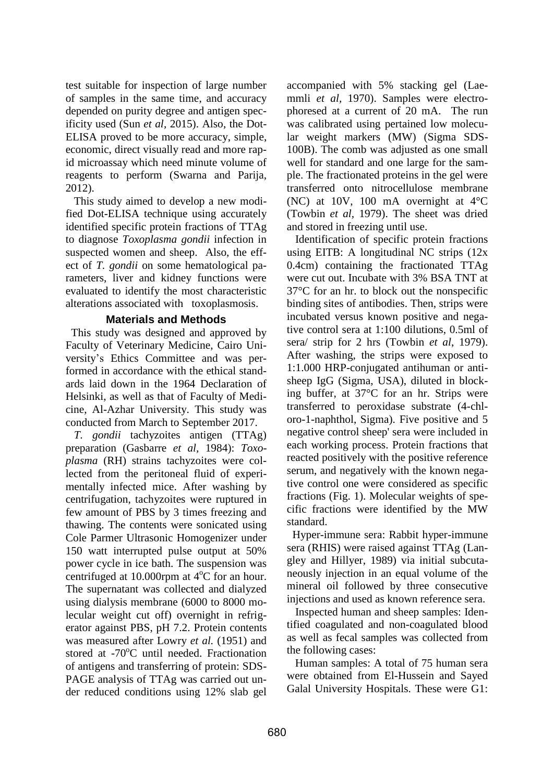test suitable for inspection of large number of samples in the same time, and accuracy depended on purity degree and antigen specificity used (Sun *et al*, 2015). Also, the Dot-ELISA proved to be more accuracy, simple, economic, direct visually read and more rapid microassay which need minute volume of reagents to perform (Swarna and Parija, 2012).

 This study aimed to develop a new modified Dot-ELISA technique using accurately identified specific protein fractions of TTAg to diagnose *Toxoplasma gondii* infection in suspected women and sheep. Also, the effect of *T. gondii* on some hematological parameters, liver and kidney functions were evaluated to identify the most characteristic alterations associated with toxoplasmosis.

## **Materials and Methods**

 This study was designed and approved by Faculty of Veterinary Medicine, Cairo University's Ethics Committee and was performed in accordance with the ethical standards laid down in the 1964 Declaration of Helsinki, as well as that of Faculty of Medicine, Al-Azhar University. This study was conducted from March to September 2017.

 *T. gondii* tachyzoites antigen (TTAg) preparation (Gasbarre *et al,* 1984): *Toxoplasma* (RH) strains tachyzoites were collected from the peritoneal fluid of experimentally infected mice. After washing by centrifugation, tachyzoites were ruptured in few amount of PBS by 3 times freezing and thawing. The contents were sonicated using Cole Parmer Ultrasonic Homogenizer under 150 watt interrupted pulse output at 50% power cycle in ice bath. The suspension was centrifuged at 10.000rpm at  $4^{\circ}$ C for an hour. The supernatant was collected and dialyzed using dialysis membrane (6000 to 8000 molecular weight cut off) overnight in refrigerator against PBS, pH 7.2. Protein contents was measured after Lowry *et al.* (1951) and stored at  $-70^{\circ}$ C until needed. Fractionation of antigens and transferring of protein: SDS-PAGE analysis of TTAg was carried out under reduced conditions using 12% slab gel

accompanied with 5% stacking gel (Laemmli *et al,* 1970). Samples were electrophoresed at a current of 20 mA. The run was calibrated using pertained low molecular weight markers (MW) (Sigma SDS-100B). The comb was adjusted as one small well for standard and one large for the sample. The fractionated proteins in the gel were transferred onto nitrocellulose membrane (NC) at 10V, 100 mA overnight at 4°C (Towbin *et al,* 1979). The sheet was dried and stored in freezing until use.

 Identification of specific protein fractions using EITB: A longitudinal NC strips (12x 0.4cm) containing the fractionated TTAg were cut out. Incubate with 3% BSA TNT at 37°C for an hr. to block out the nonspecific binding sites of antibodies. Then, strips were incubated versus known positive and negative control sera at 1:100 dilutions, 0.5ml of sera/ strip for 2 hrs (Towbin *et al*, 1979). After washing, the strips were exposed to 1:1.000 HRP-conjugated antihuman or antisheep IgG (Sigma, USA), diluted in blocking buffer, at 37°C for an hr. Strips were transferred to peroxidase substrate (4-chloro-1-naphthol, Sigma). Five positive and 5 negative control sheep' sera were included in each working process. Protein fractions that reacted positively with the positive reference serum, and negatively with the known negative control one were considered as specific fractions (Fig. 1). Molecular weights of specific fractions were identified by the MW standard.

 Hyper-immune sera: Rabbit hyper-immune sera (RHIS) were raised against TTAg (Langley and Hillyer, 1989) via initial subcutaneously injection in an equal volume of the mineral oil followed by three consecutive injections and used as known reference sera.

 Inspected human and sheep samples: Identified coagulated and non-coagulated blood as well as fecal samples was collected from the following cases:

 Human samples: A total of 75 human sera were obtained from El-Hussein and Sayed Galal University Hospitals. These were G1: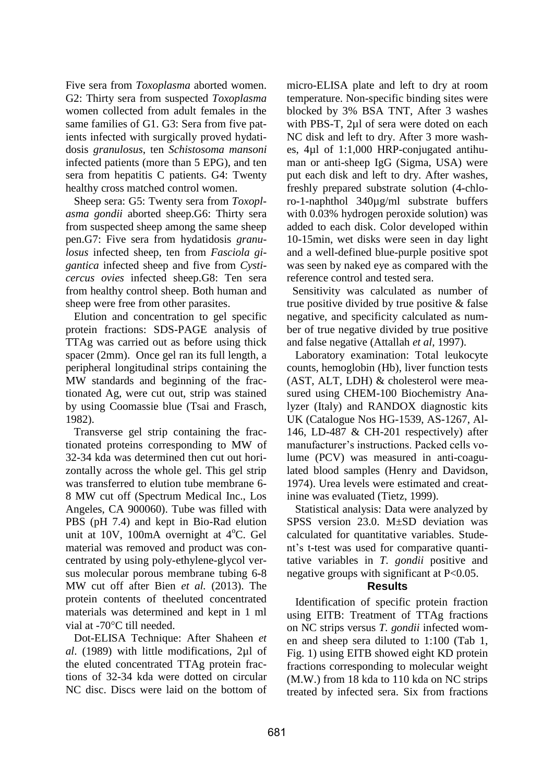Five sera from *Toxoplasma* aborted women. G2: Thirty sera from suspected *Toxoplasma* women collected from adult females in the same families of G1. G3: Sera from five patients infected with surgically proved hydatidosis *granulosus*, ten *Schistosoma mansoni*  infected patients (more than 5 EPG), and ten sera from hepatitis C patients. G4: Twenty healthy cross matched control women.

 Sheep sera: G5: Twenty sera from *Toxoplasma gondii* aborted sheep.G6: Thirty sera from suspected sheep among the same sheep pen.G7: Five sera from hydatidosis *granulosus* infected sheep, ten from *Fasciola gigantica* infected sheep and five from *Cysticercus ovies* infected sheep.G8: Ten sera from healthy control sheep. Both human and sheep were free from other parasites.

 Elution and concentration to gel specific protein fractions: SDS-PAGE analysis of TTAg was carried out as before using thick spacer (2mm). Once gel ran its full length, a peripheral longitudinal strips containing the MW standards and beginning of the fractionated Ag, were cut out, strip was stained by using Coomassie blue (Tsai and Frasch, 1982).

 Transverse gel strip containing the fractionated proteins corresponding to MW of 32-34 kda was determined then cut out horizontally across the whole gel. This gel strip was transferred to elution tube membrane 6- 8 MW cut off (Spectrum Medical Inc., Los Angeles, CA 900060). Tube was filled with PBS (pH 7.4) and kept in Bio-Rad elution unit at 10V, 100mA overnight at  $4^{\circ}$ C. Gel material was removed and product was concentrated by using poly-ethylene-glycol versus molecular porous membrane tubing 6-8 MW cut off after Bien *et al.* (2013). The protein contents of theeluted concentrated materials was determined and kept in 1 ml vial at -70°C till needed.

 Dot-ELISA Technique: After Shaheen *et al*. (1989) with little modifications, 2µl of the eluted concentrated TTAg protein fractions of 32-34 kda were dotted on circular NC disc. Discs were laid on the bottom of micro-ELISA plate and left to dry at room temperature. Non-specific binding sites were blocked by 3% BSA TNT, After 3 washes with PBS-T, 2µl of sera were doted on each NC disk and left to dry. After 3 more washes, 4µl of 1:1,000 HRP-conjugated antihuman or anti-sheep IgG (Sigma, USA) were put each disk and left to dry. After washes, freshly prepared substrate solution (4-chloro-1-naphthol 340µg/ml substrate buffers with 0.03% hydrogen peroxide solution) was added to each disk. Color developed within 10-15min, wet disks were seen in day light and a well-defined blue-purple positive spot was seen by naked eye as compared with the reference control and tested sera.

 Sensitivity was calculated as number of true positive divided by true positive & false negative, and specificity calculated as number of true negative divided by true positive and false negative (Attallah *et al,* 1997).

 Laboratory examination: Total leukocyte counts, hemoglobin (Hb), liver function tests (AST, ALT, LDH) & cholesterol were measured using CHEM-100 Biochemistry Analyzer (Italy) and RANDOX diagnostic kits UK (Catalogue Nos HG-1539, AS-1267, Al-146, LD-487 & CH-201 respectively) after manufacturer's instructions. Packed cells volume (PCV) was measured in anti-coagulated blood samples (Henry and Davidson, 1974). Urea levels were estimated and creatinine was evaluated (Tietz, 1999).

 Statistical analysis: Data were analyzed by SPSS version 23.0. M±SD deviation was calculated for quantitative variables. Student's t-test was used for comparative quantitative variables in *T. gondii* positive and negative groups with significant at P<0.05.

## **Results**

 Identification of specific protein fraction using EITB: Treatment of TTAg fractions on NC strips versus *T. gondii* infected women and sheep sera diluted to 1:100 (Tab 1, Fig. 1) using EITB showed eight KD protein fractions corresponding to molecular weight (M.W.) from 18 kda to 110 kda on NC strips treated by infected sera. Six from fractions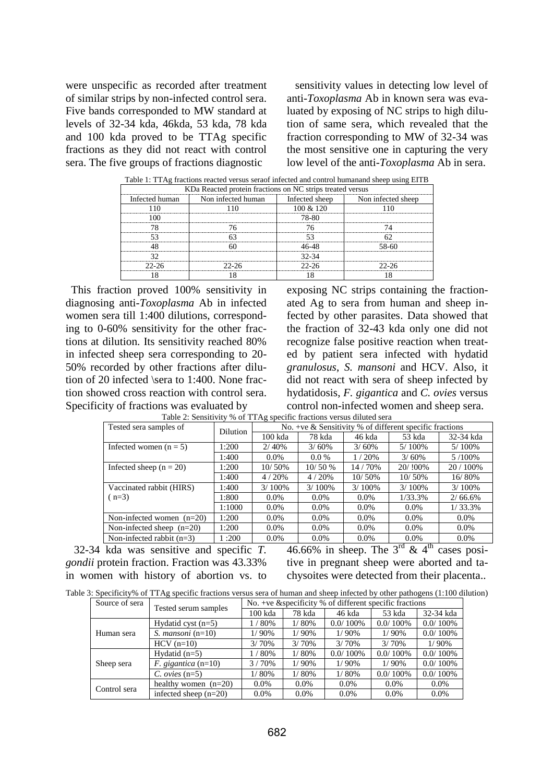were unspecific as recorded after treatment of similar strips by non-infected control sera. Five bands corresponded to MW standard at levels of 32-34 kda, 46kda, 53 kda, 78 kda and 100 kda proved to be TTAg specific fractions as they did not react with control sera. The five groups of fractions diagnostic

 sensitivity values in detecting low level of anti-*Toxoplasma* Ab in known sera was evaluated by exposing of NC strips to high dilution of same sera, which revealed that the fraction corresponding to MW of 32-34 was the most sensitive one in capturing the very low level of the anti-*Toxoplasma* Ab in sera.

| Table 1. TITLE Hactions reacted versus scrabt infected and control numanation site p using ETTD |                                                            |           |       |  |  |  |  |
|-------------------------------------------------------------------------------------------------|------------------------------------------------------------|-----------|-------|--|--|--|--|
| KDa Reacted protein fractions on NC strips treated versus                                       |                                                            |           |       |  |  |  |  |
| Infected human                                                                                  | Non infected human<br>Non infected sheep<br>Infected sheep |           |       |  |  |  |  |
|                                                                                                 |                                                            | 100 & 120 |       |  |  |  |  |
|                                                                                                 |                                                            | 78-80     |       |  |  |  |  |
|                                                                                                 |                                                            |           |       |  |  |  |  |
|                                                                                                 |                                                            |           |       |  |  |  |  |
|                                                                                                 |                                                            |           | 58-60 |  |  |  |  |
|                                                                                                 |                                                            | 32-34     |       |  |  |  |  |
| 22-26                                                                                           | 22-26                                                      | 22-26     | 22-26 |  |  |  |  |
|                                                                                                 |                                                            |           |       |  |  |  |  |

Table 1: TTAg fractions reacted versus seraof infected and control humanand sheep using EITB

 This fraction proved 100% sensitivity in diagnosing anti-*Toxoplasma* Ab in infected women sera till 1:400 dilutions, corresponding to 0-60% sensitivity for the other fractions at dilution. Its sensitivity reached 80% in infected sheep sera corresponding to 20- 50% recorded by other fractions after dilution of 20 infected \sera to 1:400. None fraction showed cross reaction with control sera. Specificity of fractions was evaluated by

exposing NC strips containing the fractionated Ag to sera from human and sheep infected by other parasites. Data showed that the fraction of 32-43 kda only one did not recognize false positive reaction when treated by patient sera infected with hydatid *granulosus*, *S. mansoni* and HCV. Also, it did not react with sera of sheep infected by hydatidosis, *F. gigantica* and *C. ovies* versus control non-infected women and sheep sera. Table 2: Sensitivity % of TTAg specific fractions versus diluted sera

| Tuble 2: Denomi (10) 70 Of Thing opeenite muericino (eroup chiuteu beru |                 |                                                         |           |           |           |            |  |
|-------------------------------------------------------------------------|-----------------|---------------------------------------------------------|-----------|-----------|-----------|------------|--|
| Tested sera samples of                                                  | <b>Dilution</b> | No. +ve & Sensitivity % of different specific fractions |           |           |           |            |  |
|                                                                         |                 | 100 kda                                                 | 78 kda    | 46 kda    | 53 kda    | 32-34 kda  |  |
| Infected women $(n = 5)$                                                | 1:200           | 2/40%                                                   | $3/60\%$  | $3/60\%$  | $5/100\%$ | $5/100\%$  |  |
|                                                                         | 1:400           | $0.0\%$                                                 | $0.0\%$   | 1/20%     | $3/60\%$  | 5/100%     |  |
| Infected sheep $(n = 20)$                                               | 1:200           | 10/50%                                                  | 10/50%    | 14/70%    | 20/!00%   | 20 / 100%  |  |
|                                                                         | 1:400           | 4/20%                                                   | 4/20%     | 10/50%    | 10/50%    | 16/80%     |  |
| Vaccinated rabbit (HIRS)                                                | 1:400           | $3/100\%$                                               | $3/100\%$ | $3/100\%$ | $3/100\%$ | $3/100\%$  |  |
| $(n=3)$                                                                 | 1:800           | $0.0\%$                                                 | $0.0\%$   | $0.0\%$   | 1/33.3%   | $2/66.6\%$ |  |
|                                                                         | 1:1000          | $0.0\%$                                                 | $0.0\%$   | $0.0\%$   | $0.0\%$   | $1/33.3\%$ |  |
| Non-infected women $(n=20)$                                             | 1:200           | $0.0\%$                                                 | $0.0\%$   | $0.0\%$   | $0.0\%$   | $0.0\%$    |  |
| Non-infected sheep $(n=20)$                                             | 1:200           | $0.0\%$                                                 | $0.0\%$   | $0.0\%$   | $0.0\%$   | $0.0\%$    |  |
| Non-infected rabbit $(n=3)$                                             | 1:200           | $0.0\%$                                                 | $0.0\%$   | $0.0\%$   | 0.0%      | $0.0\%$    |  |

 32-34 kda was sensitive and specific *T. gondii* protein fraction. Fraction was 43.33% in women with history of abortion vs. to

46.66% in sheep. The  $3^{rd}$  & 4<sup>th</sup> cases positive in pregnant sheep were aborted and tachysoites were detected from their placenta..

Table 3: Specificity% of TTAg specific fractions versus sera of human and sheep infected by other pathogens (1:100 dilution)

| Source of sera | Tested serum samples         | No. +ve &specificity % of different specific fractions |          |             |             |             |  |
|----------------|------------------------------|--------------------------------------------------------|----------|-------------|-------------|-------------|--|
|                |                              | $100$ kda                                              | 78 kda   | 46 kda      | 53 kda      | 32-34 kda   |  |
| Human sera     | Hydatid cyst $(n=5)$         | 80%                                                    | 1/80%    | $0.0/100\%$ | $0.0/100\%$ | $0.0/100\%$ |  |
|                | S. mansoni $(n=10)$          | 1/90%                                                  | $1/90\%$ | 1/90%       | 1/90%       | $0.0/100\%$ |  |
|                | $HCV$ (n=10)                 | 3/70%                                                  | 3/70%    | 3/70%       | 3/70%       | $1/90\%$    |  |
| Sheep sera     | Hydatid $(n=5)$              | $80\%$                                                 | 1/80%    | $0.0/100\%$ | $0.0/100\%$ | $0.0/100\%$ |  |
|                | <i>F.</i> gigantica $(n=10)$ | 3/70%                                                  | $1/90\%$ | $1/90\%$    | $1/90\%$    | $0.0/100\%$ |  |
|                | C. ovies $(n=5)$             | 1/80%                                                  | 1/80%    | 1/80%       | $0.0/100\%$ | $0.0/100\%$ |  |
| Control sera   | healthy women $(n=20)$       | $0.0\%$                                                | $0.0\%$  | $0.0\%$     | $0.0\%$     | $0.0\%$     |  |
|                | infected sheep $(n=20)$      | $0.0\%$                                                | $0.0\%$  | $0.0\%$     | $0.0\%$     | $0.0\%$     |  |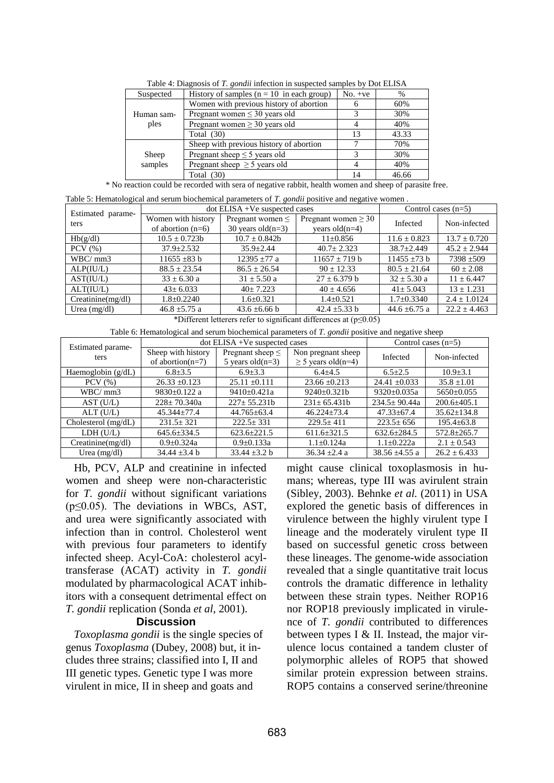| Suspected        | History of samples $(n = 10$ in each group) | $No. +ve$ | $\%$  |
|------------------|---------------------------------------------|-----------|-------|
|                  | Women with previous history of abortion     | 6         | 60%   |
| Human sam-       | Pregnant women $\leq$ 30 years old          |           | 30%   |
| ples             | Pregnant women $\geq$ 30 years old          | 4         | 40%   |
|                  | Total $(30)$                                | 13        | 43.33 |
|                  | Sheep with previous history of abortion     |           | 70%   |
| Sheep<br>samples | Pregnant sheep $\leq$ 5 years old           |           | 30%   |
|                  | Pregnant sheep $\geq$ 5 years old           |           | 40%   |
|                  | Total $(30)$                                | 14        | 46.66 |

Table 4: Diagnosis of *T. gondii* infection in suspected samples by Dot ELISA

\* No reaction could be recorded with sera of negative rabbit, health women and sheep of parasite free.

| Estimated parame- |                     | $dot ELISA + Ve$ suspected cases |                                      | Control cases $(n=5)$ |                  |
|-------------------|---------------------|----------------------------------|--------------------------------------|-----------------------|------------------|
| ters              | Women with history  | Pregnant women $\leq$            | Pregnant women $\geq 30$<br>Infected |                       | Non-infected     |
|                   | of abortion $(n=6)$ | 30 years old $(n=3)$             | vears old $(n=4)$                    |                       |                  |
| Hb(g/dl)          | $10.5 \pm 0.723b$   | $10.7 \pm 0.842b$                | $11\pm0.856$                         | $11.6 \pm 0.823$      | $13.7 \pm 0.720$ |
| $PCV$ $(\% )$     | $37.9 \pm 2.532$    | $35.9 + 2.44$                    | $40.7 + 2.323$                       | $38.7 \pm 2.449$      | $45.2 + 2.944$   |
| WBC/mm3           | $11655 \pm 83 b$    | $12395 \pm 77$ a                 | $11657 \pm 719$ b                    | $11455 \pm 73$ b      | $7398 + 509$     |
| ALP(IU/L)         | $88.5 + 23.54$      | $86.5 \pm 26.54$                 | $90 + 12.33$                         | $80.5 \pm 21.64$      | $60 \pm 2.08$    |
| AST(IU/L)         | $33 \pm 6.30$ a     | $31 \pm 5.50$ a                  | $27 \pm 6.379$ b                     | $32 \pm 5.30$ a       | $11 \pm 6.447$   |
| ALT(IU/L)         | $43 \pm 6.033$      | $40 \pm 7.223$                   | $40 \pm 4.656$                       | $41 \pm 5.043$        | $13 \pm 1.231$   |
| Creatinine(mg/dl) | $1.8 \pm 0.2240$    | $1.6 \pm 0.321$                  | $1.4 \pm 0.521$                      | $1.7 \pm 0.3340$      | $2.4 \pm 1.0124$ |
| Urea $(mg/dl)$    | $46.8 \pm 5.75$ a   | 43.6 $\pm$ 6.66 b                | 42.4 $\pm$ 5.33 b                    | 44.6 $\pm$ 6.75 a     | $22.2 \pm 4.463$ |

\*Different letterers refer to significant differences at (p≤0.05)

Table 6: Hematological and serum biochemical parameters of *T. gondii* positive and negative sheep

| Estimated parame-<br>ters |                     | $dot ELISA + Ve$ suspected cases | Control cases $(n=5)$   |                    |                   |
|---------------------------|---------------------|----------------------------------|-------------------------|--------------------|-------------------|
|                           | Sheep with history  | Pregnant sheep $\leq$            | Non pregnant sheep      | Infected           | Non-infected      |
|                           | of abortion $(n=7)$ | 5 years old $(n=3)$              | $\geq$ 5 years old(n=4) |                    |                   |
| Haemoglobin $(g/dL)$      | $6.8 \pm 3.5$       | $6.9 + 3.3$                      | $6.4 \pm 4.5$           | $6.5 \pm 2.5$      | $10.9 \pm 3.1$    |
| $PCV$ $(\% )$             | $26.33 \pm 0.123$   | $25.11 \pm 0.111$                | $23.66 \pm 0.213$       | $24.41 \pm 0.033$  | $35.8 \pm 1.01$   |
| WBC/mm3                   | 9830 $\pm$ 0.122 a  | $9410 \pm 0.421a$                | $9240 \pm 0.321$ b      | $9320 \pm 0.035a$  | $5650 \pm 0.055$  |
| AST (U/L)                 | $228 \pm 70.340a$   | $227 \pm 55.231$                 | $231 \pm 65.431 b$      | $234.5 \pm 90.44a$ | $200.6 \pm 405.1$ |
| ALT(U/L)                  | $45.344 \pm 77.4$   | $44.765 \pm 63.4$                | $46.224 \pm 73.4$       | $47.33 \pm 67.4$   | $35.62 \pm 134.8$ |
| Cholesterol $(mg/dL)$     | $231.5 \pm 321$     | $222.5 + 331$                    | $229.5 \pm 411$         | $223.5 \pm 656$    | $195.4 \pm 63.8$  |
| LDH (U/L)                 | $645.6 \pm 334.5$   | $623.6 \pm 221.5$                | $611.6 \pm 321.5$       | $632.6 \pm 284.5$  | $572.8 \pm 265.7$ |
| Creatinine(mg/dl)         | $0.9 \pm 0.324a$    | $0.9 \pm 0.133a$                 | $1.1 \pm 0.124a$        | $1.1 + 0.222a$     | $2.1 \pm 0.543$   |
| Urea $(mg/dl)$            | 34.44 $\pm$ 3.4 b   | 33.44 $\pm$ 3.2 b                | 36.34 $\pm$ 2.4 a       | 38.56 $\pm$ 4.55 a | $26.2 \pm 6.433$  |

 Hb, PCV, ALP and creatinine in infected women and sheep were non-characteristic for *T. gondii* without significant variations (p≤0.05). The deviations in WBCs, AST, and urea were significantly associated with infection than in control. Cholesterol went with previous four parameters to identify infected sheep. Acyl-CoA: cholesterol acyltransferase (ACAT) activity in *T. gondii* modulated by pharmacological ACAT inhibitors with a consequent detrimental effect on *T. gondii* replication (Sonda *et al*, 2001).

#### **Discussion**

 *Toxoplasma gondii* is the single species of genus *Toxoplasma* (Dubey, 2008) but, it includes three strains; classified into I, II and III genetic types. Genetic type I was more virulent in mice, II in sheep and goats and

might cause clinical toxoplasmosis in humans; whereas, type III was avirulent strain (Sibley, 2003). Behnke *et al.* (2011) in USA explored the genetic basis of differences in virulence between the highly virulent type I lineage and the moderately virulent type II based on successful genetic cross between these lineages. The genome-wide association revealed that a single quantitative trait locus controls the dramatic difference in lethality between these strain types. Neither ROP16 nor ROP18 previously implicated in virulence of *T. gondii* contributed to differences between types I & II. Instead, the major virulence locus contained a tandem cluster of polymorphic alleles of ROP5 that showed similar protein expression between strains. ROP5 contains a conserved serine/threonine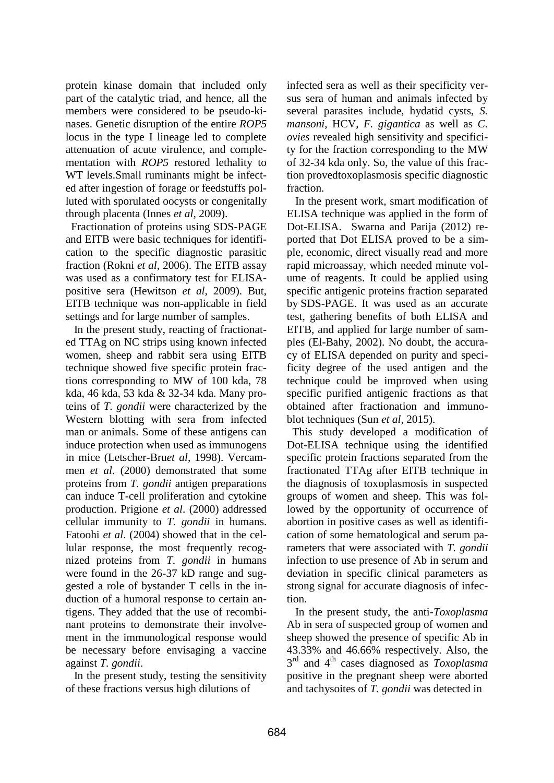protein kinase domain that included only part of the catalytic triad, and hence, all the members were considered to be pseudo-kinases. Genetic disruption of the entire *ROP5* locus in the type I lineage led to complete attenuation of acute virulence, and complementation with *ROP5* restored lethality to WT levels.Small ruminants might be infected after ingestion of forage or feedstuffs polluted with sporulated oocysts or congenitally through placenta (Innes *et al,* 2009).

 Fractionation of proteins using SDS-PAGE and EITB were basic techniques for identification to the specific diagnostic parasitic fraction (Rokni *et al,* 2006). The EITB assay was used as a confirmatory test for ELISApositive sera (Hewitson *et al,* 2009). But, EITB technique was non-applicable in field settings and for large number of samples.

 In the present study, reacting of fractionated TTAg on NC strips using known infected women, sheep and rabbit sera using EITB technique showed five specific protein fractions corresponding to MW of 100 kda, 78 kda, 46 kda, 53 kda & 32-34 kda. Many proteins of *T. gondii* were characterized by the Western blotting with sera from infected man or animals. Some of these antigens can induce protection when used as immunogens in mice (Letscher-Bru*et al,* 1998). Vercammen *et al*. (2000) demonstrated that some proteins from *T. gondii* antigen preparations can induce T-cell proliferation and cytokine production. Prigione *et al*. (2000) addressed cellular immunity to *T. gondii* in humans. Fatoohi *et al*. (2004) showed that in the cellular response, the most frequently recognized proteins from *T. gondii* in humans were found in the 26-37 kD range and suggested a role of bystander T cells in the induction of a humoral response to certain antigens. They added that the use of recombinant proteins to demonstrate their involvement in the immunological response would be necessary before envisaging a vaccine against *T. gondii*.

 In the present study, testing the sensitivity of these fractions versus high dilutions of

infected sera as well as their specificity versus sera of human and animals infected by several parasites include, hydatid cysts, *S. mansoni*, HCV, *F. gigantica* as well as *C. ovies* revealed high sensitivity and specificity for the fraction corresponding to the MW of 32-34 kda only. So, the value of this fraction provedtoxoplasmosis specific diagnostic fraction.

 In the present work, smart modification of ELISA technique was applied in the form of Dot-ELISA. Swarna and Parija (2012) reported that Dot ELISA proved to be a simple, economic, direct visually read and more rapid microassay, which needed minute volume of reagents. It could be applied using specific antigenic proteins fraction separated by SDS-PAGE. It was used as an accurate test, gathering benefits of both ELISA and EITB, and applied for large number of samples (El-Bahy, 2002). No doubt, the accuracy of ELISA depended on purity and specificity degree of the used antigen and the technique could be improved when using specific purified antigenic fractions as that obtained after fractionation and immunoblot techniques (Sun *et al*, 2015).

 This study developed a modification of Dot-ELISA technique using the identified specific protein fractions separated from the fractionated TTAg after EITB technique in the diagnosis of toxoplasmosis in suspected groups of women and sheep. This was followed by the opportunity of occurrence of abortion in positive cases as well as identification of some hematological and serum parameters that were associated with *T. gondii* infection to use presence of Ab in serum and deviation in specific clinical parameters as strong signal for accurate diagnosis of infection.

 In the present study, the anti-*Toxoplasma* Ab in sera of suspected group of women and sheep showed the presence of specific Ab in 43.33% and 46.66% respectively. Also, the 3<sup>rd</sup> and 4<sup>th</sup> cases diagnosed as *Toxoplasma* positive in the pregnant sheep were aborted and tachysoites of *T. gondii* was detected in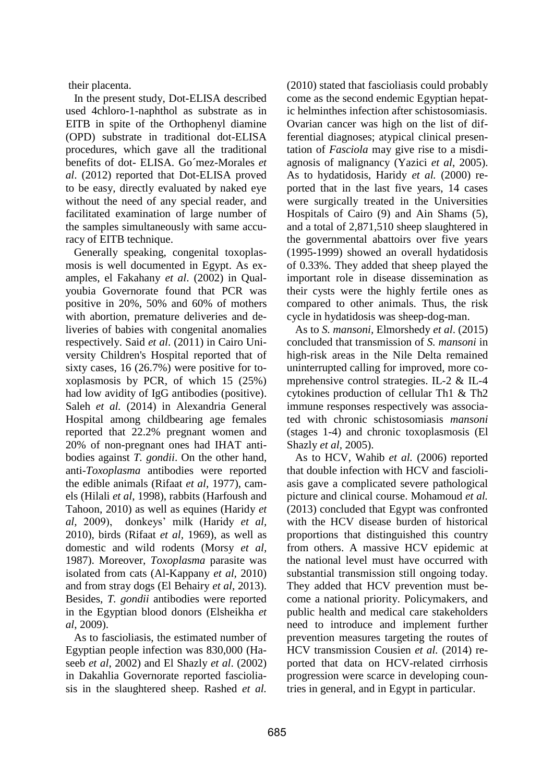their placenta.

 In the present study, Dot-ELISA described used 4chloro-1-naphthol as substrate as in EITB in spite of the Orthophenyl diamine (OPD) substrate in traditional dot-ELISA procedures, which gave all the traditional benefits of dot- ELISA. Go´mez-Morales *et al*. (2012) reported that Dot-ELISA proved to be easy, directly evaluated by naked eye without the need of any special reader, and facilitated examination of large number of the samples simultaneously with same accuracy of EITB technique.

 Generally speaking, congenital toxoplasmosis is well documented in Egypt. As examples, el Fakahany *et al*. (2002) in Qualyoubia Governorate found that PCR was positive in 20%, 50% and 60% of mothers with abortion, premature deliveries and deliveries of babies with congenital anomalies respectively. Said *et al*. (2011) in Cairo University Children's Hospital reported that of sixty cases, 16 (26.7%) were positive for toxoplasmosis by PCR, of which 15 (25%) had low avidity of IgG antibodies (positive). Saleh *et al.* (2014) in Alexandria General Hospital among childbearing age females reported that 22.2% pregnant women and 20% of non-pregnant ones had IHAT antibodies against *T. gondii*. On the other hand, anti-*Toxoplasma* antibodies were reported the edible animals (Rifaat *et al,* 1977), camels (Hilali *et al*, 1998), rabbits (Harfoush and Tahoon, 2010) as well as equines (Haridy *et al,* 2009), donkeys' milk (Haridy *et al,*  2010), birds (Rifaat *et al,* 1969), as well as domestic and wild rodents (Morsy *et al,*  1987). Moreover, *Toxoplasma* parasite was isolated from cats (Al-Kappany *et al,* 2010) and from stray dogs (El Behairy *et al*, 2013). Besides, *T. gondii* antibodies were reported in the Egyptian blood donors (Elsheikha *et al*, 2009).

 As to fascioliasis, the estimated number of Egyptian people infection was 830,000 (Haseeb *et al*, 2002) and El Shazly *et al*. (2002) in Dakahlia Governorate reported fascioliasis in the slaughtered sheep. Rashed *et al.* 

(2010) stated that fascioliasis could probably come as the second endemic Egyptian hepatic helminthes infection after schistosomiasis. Ovarian cancer was high on the list of differential diagnoses; atypical clinical presentation of *Fasciola* may give rise to a misdiagnosis of malignancy (Yazici *et al*, 2005). As to hydatidosis, Haridy *et al.* (2000) reported that in the last five years, 14 cases were surgically treated in the Universities Hospitals of Cairo (9) and Ain Shams (5), and a total of 2,871,510 sheep slaughtered in the governmental abattoirs over five years (1995-1999) showed an overall hydatidosis of 0.33%. They added that sheep played the important role in disease dissemination as their cysts were the highly fertile ones as compared to other animals. Thus, the risk cycle in hydatidosis was sheep-dog-man.

 As to *S. mansoni,* Elmorshedy *et al*. (2015) concluded that transmission of *S. mansoni* in high-risk areas in the Nile Delta remained uninterrupted calling for improved, more comprehensive control strategies. IL-2 & IL-4 cytokines production of cellular Th1 & Th2 immune responses respectively was associated with chronic schistosomiasis *mansoni*  (stages 1-4) and chronic toxoplasmosis (El Shazly *et al,* 2005).

 As to HCV, Wahib *et al.* (2006) reported that double infection with HCV and fascioliasis gave a complicated severe pathological picture and clinical course. Mohamoud *et al.* (2013) concluded that Egypt was confronted with the HCV disease burden of historical proportions that distinguished this country from others. A massive HCV epidemic at the national level must have occurred with substantial transmission still ongoing today. They added that HCV prevention must become a national priority. Policymakers, and public health and medical care stakeholders need to introduce and implement further prevention measures targeting the routes of HCV transmission Cousien *et al.* (2014) reported that data on HCV-related cirrhosis progression were scarce in developing countries in general, and in Egypt in particular.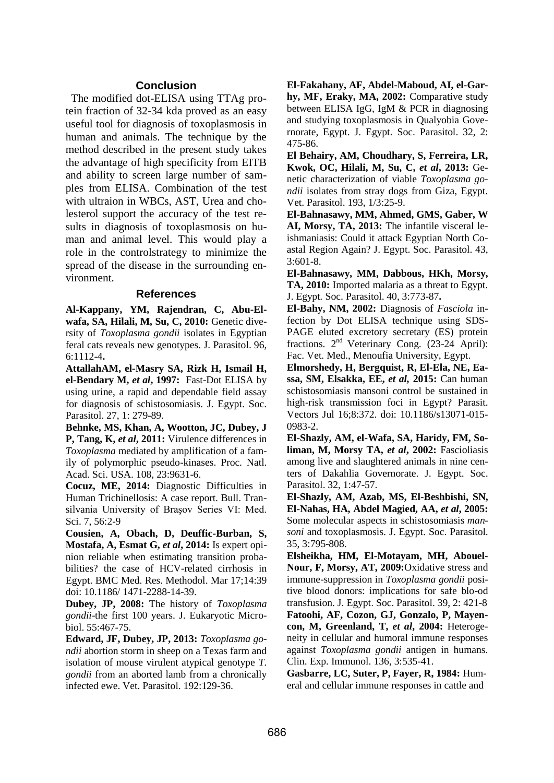### **Conclusion**

 The modified dot-ELISA using TTAg protein fraction of 32-34 kda proved as an easy useful tool for diagnosis of toxoplasmosis in human and animals. The technique by the method described in the present study takes the advantage of high specificity from EITB and ability to screen large number of samples from ELISA. Combination of the test with ultraion in WBCs, AST, Urea and cholesterol support the accuracy of the test results in diagnosis of toxoplasmosis on human and animal level. This would play a role in the controlstrategy to minimize the spread of the disease in the surrounding environment.

#### **References**

**[Al-Kappany, YM,](http://www.ncbi.nlm.nih.gov/pubmed?term=Al-Kappany%20YM%5BAuthor%5D&cauthor=true&cauthor_uid=21158618) [Rajendran, C,](http://www.ncbi.nlm.nih.gov/pubmed?term=Rajendran%20C%5BAuthor%5D&cauthor=true&cauthor_uid=21158618) [Abu-El](http://www.ncbi.nlm.nih.gov/pubmed?term=Abu-Elwafa%20SA%5BAuthor%5D&cauthor=true&cauthor_uid=21158618)[wafa, SA,](http://www.ncbi.nlm.nih.gov/pubmed?term=Abu-Elwafa%20SA%5BAuthor%5D&cauthor=true&cauthor_uid=21158618) [Hilali, M,](http://www.ncbi.nlm.nih.gov/pubmed?term=Hilali%20M%5BAuthor%5D&cauthor=true&cauthor_uid=21158618) [Su, C,](http://www.ncbi.nlm.nih.gov/pubmed?term=Su%20C%5BAuthor%5D&cauthor=true&cauthor_uid=21158618) 2010:** Genetic diversity of *Toxoplasma gondii* isolates in Egyptian feral cats reveals new genotypes. J. Parasitol. 96, 6:1112-4**.**

**AttallahAM, el-Masry SA, Rizk H, Ismail H, el-Bendary M,** *et al***, 1997:** Fast-Dot ELISA by using urine, a rapid and dependable field assay for diagnosis of schistosomiasis. J. Egypt. Soc. Parasitol. 27, 1: 279-89.

**[Behnke, MS,](https://www.ncbi.nlm.nih.gov/pubmed/?term=Behnke%20MS%5BAuthor%5D&cauthor=true&cauthor_uid=21586633) [Khan, A,](https://www.ncbi.nlm.nih.gov/pubmed/?term=Khan%20A%5BAuthor%5D&cauthor=true&cauthor_uid=21586633) [Wootton, JC,](https://www.ncbi.nlm.nih.gov/pubmed/?term=Wootton%20JC%5BAuthor%5D&cauthor=true&cauthor_uid=21586633) [Dubey, J](https://www.ncbi.nlm.nih.gov/pubmed/?term=Dubey%20JP%5BAuthor%5D&cauthor=true&cauthor_uid=21586633) [P,](https://www.ncbi.nlm.nih.gov/pubmed/?term=Dubey%20JP%5BAuthor%5D&cauthor=true&cauthor_uid=21586633) [Tang, K,](https://www.ncbi.nlm.nih.gov/pubmed/?term=Tang%20K%5BAuthor%5D&cauthor=true&cauthor_uid=21586633)** *et al***, 2011:** Virulence differences in *Toxoplasma* mediated by amplification of a family of polymorphic pseudo-kinases. [Proc. Natl.](https://www.ncbi.nlm.nih.gov/pubmed/21586633)  [Acad. Sci. USA.](https://www.ncbi.nlm.nih.gov/pubmed/21586633) 108, 23:9631-6.

**Cocuz, ME, 2014:** Diagnostic Difficulties in Human Trichinellosis: A case report. Bull. Transilvania University of Braşov Series VI: Med. Sci. 7, 56:2-9

**Cousien, A, Obach, D, Deuffic-Burban, S, Mostafa, A, Esmat G,** *et al***, 2014:** [Is expert opi](https://www.ncbi.nlm.nih.gov/pubmed/24635942)[nion reliable when estimating transition proba](https://www.ncbi.nlm.nih.gov/pubmed/24635942)[bilities? the case of HCV-related cirrhosis in](https://www.ncbi.nlm.nih.gov/pubmed/24635942)  [Egypt.](https://www.ncbi.nlm.nih.gov/pubmed/24635942) BMC Med. Res. Methodol. Mar 17;14:39 doi: 10.1186/ 1471-2288-14-39.

**Dubey, JP, 2008:** The history of *Toxoplasma gondii*-the first 100 years. J. Eukaryotic Microbiol. 55:467-75.

**Edward, JF, Dubey, JP, 2013:** *Toxoplasma gondii* abortion storm in sheep on a Texas farm and isolation of mouse virulent atypical genotype *T. gondii* from an aborted lamb from a chronically infected ewe. Vet. Parasitol. 192:129-36.

**El-Fakahany, AF, Abdel-Maboud, AI, el-Garhy, MF, Eraky, MA, 2002:** [Comparative study](https://www.ncbi.nlm.nih.gov/pubmed/12214925)  [between ELISA IgG, IgM &](https://www.ncbi.nlm.nih.gov/pubmed/12214925) PCR in diagnosing and [studying toxoplasmosis in Qualyobia Gove](https://www.ncbi.nlm.nih.gov/pubmed/12214925)[rnorate, Egypt.](https://www.ncbi.nlm.nih.gov/pubmed/12214925) J. Egypt. Soc. Parasitol. 32, 2: 475-86.

**El Behairy, AM, Choudhary, S, Ferreira, LR, Kwok, OC, Hilali, M, Su, C,** *et al***, 2013:** [Ge](https://www.ncbi.nlm.nih.gov/pubmed/23333072)[netic characterization of viable](https://www.ncbi.nlm.nih.gov/pubmed/23333072) *Toxoplasma gondii* [isolates from stray dogs from Giza, Egypt.](https://www.ncbi.nlm.nih.gov/pubmed/23333072) Vet. Parasitol. 193, 1/3:25-9.

**El-Bahnasawy, MM, Ahmed, GMS, Gaber, W AI, Morsy, TA, 2013:** The infantile visceral leishmaniasis: Could it attack Egyptian North Coastal Region Again? J. Egypt. Soc. Parasitol. 43, 3:601-8.

**El-Bahnasawy, MM, Dabbous, HKh, Morsy, TA, 2010:** Imported malaria as a threat to Egypt. J. Egypt*.* Soc. Parasitol. 40, 3:773-87**.**

**El-Bahy, NM, 2002:** Diagnosis of *Fasciola* infection by Dot ELISA technique using SDS-PAGE eluted excretory secretary (ES) protein fractions. 2nd Veterinary Cong. (23-24 April): Fac. Vet. Med., Menoufia University, Egypt.

**[Elmorshedy, H,](https://www.ncbi.nlm.nih.gov/pubmed/?term=Elmorshedy%20H%5BAuthor%5D&cauthor=true&cauthor_uid=26174621) [Bergquist, R,](https://www.ncbi.nlm.nih.gov/pubmed/?term=Bergquist%20R%5BAuthor%5D&cauthor=true&cauthor_uid=26174621) [El-Ela, NE,](https://www.ncbi.nlm.nih.gov/pubmed/?term=El-Ela%20NE%5BAuthor%5D&cauthor=true&cauthor_uid=26174621) [Ea](https://www.ncbi.nlm.nih.gov/pubmed/?term=Eassa%20SM%5BAuthor%5D&cauthor=true&cauthor_uid=26174621)[ssa, SM,](https://www.ncbi.nlm.nih.gov/pubmed/?term=Eassa%20SM%5BAuthor%5D&cauthor=true&cauthor_uid=26174621) [Elsakka, EE,](https://www.ncbi.nlm.nih.gov/pubmed/?term=Elsakka%20EE%5BAuthor%5D&cauthor=true&cauthor_uid=26174621)** *et al,* **2015:** Can human schistosomiasis mansoni control be sustained in high-risk transmission foci in Egypt? Parasit. Vectors Jul 16;8:372. doi: 10.1186/s13071-015- 0983-2.

**El-Shazly, AM, el-Wafa, SA, Haridy, FM, Soliman, M, Morsy TA,** *et al***, 2002:** [Fascioliasis](https://www.ncbi.nlm.nih.gov/pubmed/12049269)  [among live and slaughtered](https://www.ncbi.nlm.nih.gov/pubmed/12049269) animals in nine cen[ters of Dakahlia Governorate.](https://www.ncbi.nlm.nih.gov/pubmed/12049269) J. Egypt. Soc. Parasitol. 32, 1:47-57.

**El-Shazly, AM, Azab, MS, El-Beshbishi, SN, El-Nahas, HA, Abdel Magied, AA,** *et al***, 2005:** Some molecular aspects in schistosomiasis *mansoni* and toxoplasmosis. J. Egypt. Soc. Parasitol. 35, 3:795-808.

**Elsheikha, HM, El-Motayam, MH, Abouel-Nour, F, Morsy, AT, 2009:**[Oxidative stress and](http://www.ncbi.nlm.nih.gov/pubmed/19795749)  [immune-suppression in](http://www.ncbi.nlm.nih.gov/pubmed/19795749) *Toxoplasma gondii* posi[tive blood donors: implications for safe blo-od](http://www.ncbi.nlm.nih.gov/pubmed/19795749)  [transfusion.](http://www.ncbi.nlm.nih.gov/pubmed/19795749) J. Egypt. Soc. Parasitol. 39, 2: 421-8 **Fatoohi, AF, Cozon, GJ, Gonzalo, P, Mayencon, M, Greenland, T,** *et al***, 2004:** Heterogeneity in cellular and humoral immune responses against *Toxoplasma gondii* antigen in humans. Clin. Exp. Immunol. 136, 3:535-41.

**Gasbarre, LC, Suter, P, Fayer, R, 1984:** Humeral and cellular immune responses in cattle and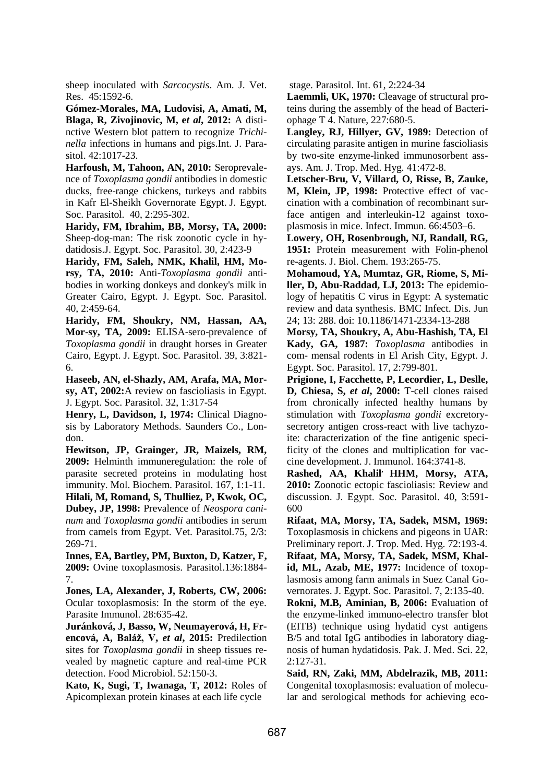sheep inoculated with *Sarcocystis*. Am. J. Vet. Res. 45:1592-6.

**Gómez-Morales, MA, Ludovisi, A, Amati, M, Blaga, R, Zivojinovic, M, e***t al***, 2012:** A distinctive Western blot pattern to recognize *Trichinella* infections in humans and pigs.Int. J. Parasitol. 42:1017-23.

**Harfoush, M, Tahoon, AN, 2010:** Seroprevalence of *Toxoplasma gondii* antibodies in domestic ducks, free-range chickens, turkeys and rabbits in Kafr El-Sheikh Governorate Egypt. J. Egypt. Soc. Parasitol. 40, 2:295-302.

**Haridy, FM, Ibrahim, BB, Morsy, TA, 2000:** [Sheep-dog-man: The risk zoonotic cycle in hy](https://www.ncbi.nlm.nih.gov/pubmed/10946504)[datidosis.J](https://www.ncbi.nlm.nih.gov/pubmed/10946504). Egypt. Soc. Parasitol. 30, 2:423-9

**Haridy, FM, Saleh, NMK, Khalil, HM, Morsy, TA, 2010:** Anti-*Toxoplasma gondii* antibodies in working donkeys and donkey's milk in Greater Cairo, Egypt. J. Egypt. Soc. Parasitol. 40, 2:459-64.

**Haridy, FM, Shoukry, NM, Hassan, AA, Mor-sy, TA, 2009:** ELISA-sero-prevalence of *Toxoplasma gondii* in draught horses in Greater Cairo, Egypt. J. Egypt. Soc. Parasitol. 39, 3:821- 6.

**Haseeb, AN, el-Shazly, AM, Arafa, MA, Morsy, AT, 2002:**[A review on fascioliasis in Egypt.](https://www.ncbi.nlm.nih.gov/pubmed/12049266) J. Egypt. Soc. Parasitol. 32, 1:317-54

**Henry, L, Davidson, I, 1974:** Clinical Diagnosis by Laboratory Methods. Saunders Co., London.

**Hewitson, JP, Grainger, JR, Maizels, RM, 2009:** Helminth immuneregulation: the role of parasite secreted proteins in modulating host immunity. Mol. Biochem. Parasitol. 167, 1:1-11.

**Hilali, M, Romand, S, Thulliez, P, Kwok, OC, Dubey, JP, 1998:** Prevalence of *Neospora caninum* and *Toxoplasma gondii* antibodies in serum from camels from Egypt. Vet. Parasitol.75, 2/3: 269-71.

**Innes, EA, Bartley, PM, Buxton, D, Katzer, F, 2009:** Ovine toxoplasmosis. Parasitol.136:1884- 7.

**Jones, LA, Alexander, J, Roberts, CW, 2006:** Ocular toxoplasmosis: In the storm of the eye. Parasite Immunol. 28:635-42.

**[Juránková, J,](https://www.ncbi.nlm.nih.gov/pubmed/?term=Jur%C3%A1nkov%C3%A1%20J%5BAuthor%5D&cauthor=true&cauthor_uid=26338129) [Basso, W,](https://www.ncbi.nlm.nih.gov/pubmed/?term=Basso%20W%5BAuthor%5D&cauthor=true&cauthor_uid=26338129) [Neumayerová, H,](https://www.ncbi.nlm.nih.gov/pubmed/?term=Neumayerov%C3%A1%20H%5BAuthor%5D&cauthor=true&cauthor_uid=26338129) [Fr](https://www.ncbi.nlm.nih.gov/pubmed/?term=Frencov%C3%A1%20A%5BAuthor%5D&cauthor=true&cauthor_uid=26338129)[encová, A,](https://www.ncbi.nlm.nih.gov/pubmed/?term=Frencov%C3%A1%20A%5BAuthor%5D&cauthor=true&cauthor_uid=26338129) [Baláž, V,](https://www.ncbi.nlm.nih.gov/pubmed/?term=Bal%C3%A1%C5%BE%20V%5BAuthor%5D&cauthor=true&cauthor_uid=26338129)** *et al***, 2015:** Predilection sites for *Toxoplasma gondii* in sheep tissues revealed by magnetic capture and real-time PCR detection. [Food Microbiol.](https://www.ncbi.nlm.nih.gov/pubmed/26338129) 52:150-3.

**Kato, K, Sugi, T, Iwanaga, T, 2012:** Roles of Apicomplexan protein kinases at each life cycle

stage. Parasitol. Int. 61, 2:224-34

**Laemmli, UK, 1970:** Cleavage of structural proteins during the assembly of the head of Bacteriophage T 4. Nature, 227:680-5.

**Langley, RJ, Hillyer, GV, 1989:** Detection of circulating parasite antigen in murine fascioliasis by two-site enzyme-linked immunosorbent assays. Am. J. Trop. Med. Hyg. 41:472-8.

**Letscher-Bru, V, Villard, O, Risse, B, Zauke, M, Klein, JP, 1998:** Protective effect of vaccination with a combination of recombinant surface antigen and interleukin-12 against toxoplasmosis in mice. Infect. Immun. 66:4503–6.

**Lowery, OH, Rosenbrough, NJ, Randall, RG, 1951:** Protein measurement with Folin-phenol re-agents. J. Biol. Chem. 193:265-75.

**Mohamoud, YA, Mumtaz, GR, Riome, S, Miller, D, Abu-Raddad, LJ, 2013:** [The epidemio](https://www.ncbi.nlm.nih.gov/pubmed/23799878)[logy of hepatitis C virus in Egypt: A](https://www.ncbi.nlm.nih.gov/pubmed/23799878) systematic [review and data synthesis.](https://www.ncbi.nlm.nih.gov/pubmed/23799878) BMC Infect. Dis. Jun 24; 13: 288. doi: 10.1186/1471-2334-13-288

**Morsy, TA, Shoukry, A, Abu-Hashish, TA, El Kady, GA, 1987:** *Toxoplasma* antibodies in com- mensal rodents in El Arish City, Egypt. J. Egypt. Soc. Parasitol. 17, 2:799-801.

**Prigione, I, Facchette, P, Lecordier, L, Deslle, D, Chiesa, S,** *et al***, 2000:** T-cell clones raised from chronically infected healthy humans by stimulation with *Toxoplasma gondii* excretorysecretory antigen cross-react with live tachyzoite: characterization of the fine antigenic specificity of the clones and multiplication for vaccine development. J. Immunol. 164:3741-8.

**Rashed, AA, Khalil, HHM, Morsy, ATA, 2010:** Zoonotic ectopic fascioliasis: Review and discussion. J. Egypt. Soc. Parasitol. 40, 3:591- 600

**Rifaat, MA, Morsy, TA, Sadek, MSM, 1969:** Toxoplasmosis in chickens and pigeons in UAR: Preliminary report. J. Trop. Med. Hyg. 72:193-4. **Rifaat, MA, Morsy, TA, Sadek, MSM, Khalid, ML, Azab, ME, 1977:** Incidence of toxoplasmosis among farm animals in Suez Canal Governorates. J. Egypt. Soc. Parasitol. 7, 2:135-40.

**Rokni, M.B, Aminian, B, 2006:** Evaluation of the enzyme-linked immuno-electro transfer blot (EITB) technique using hydatid cyst antigens B/5 and total IgG antibodies in laboratory diagnosis of human hydatidosis. Pak. J. Med. Sci. 22, 2:127-31.

**Said, RN, Zaki, MM, Abdelrazik, MB, 2011:** [Congenital toxoplasmosis: evaluation of molecu](https://www.ncbi.nlm.nih.gov/pubmed/20961951)[lar and serological methods for achieving eco-](https://www.ncbi.nlm.nih.gov/pubmed/20961951)